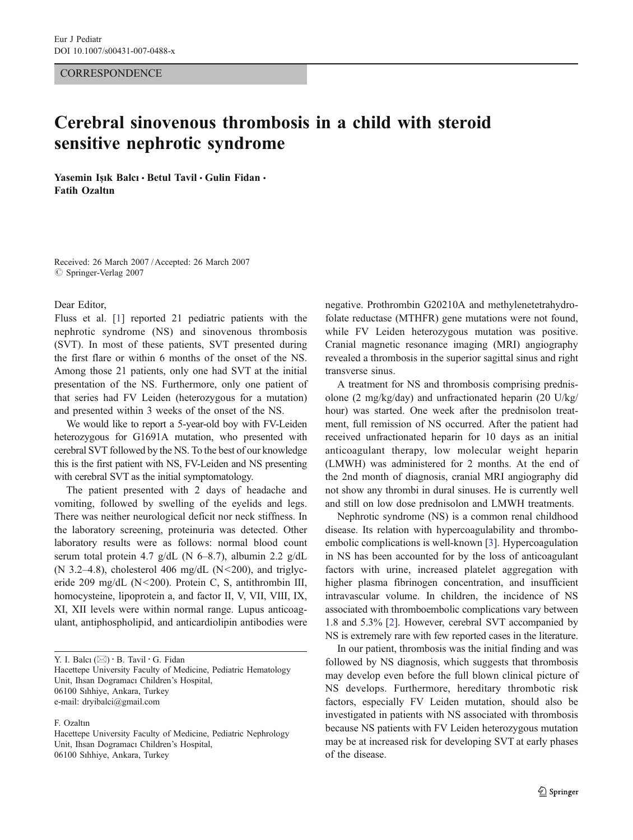### **CORRESPONDENCE**

# Cerebral sinovenous thrombosis in a child with steroid sensitive nephrotic syndrome

Yasemin Isık Balcı · Betul Tavil · Gulin Fidan · Fatih Ozaltın

Received: 26 March 2007 /Accepted: 26 March 2007  $\oslash$  Springer-Verlag 2007

#### Dear Editor,

Fluss et al. [\[1](#page-1-0)] reported 21 pediatric patients with the nephrotic syndrome (NS) and sinovenous thrombosis (SVT). In most of these patients, SVT presented during the first flare or within 6 months of the onset of the NS. Among those 21 patients, only one had SVT at the initial presentation of the NS. Furthermore, only one patient of that series had FV Leiden (heterozygous for a mutation) and presented within 3 weeks of the onset of the NS.

We would like to report a 5-year-old boy with FV-Leiden heterozygous for G1691A mutation, who presented with cerebral SVT followed by the NS. To the best of our knowledge this is the first patient with NS, FV-Leiden and NS presenting with cerebral SVT as the initial symptomatology.

The patient presented with 2 days of headache and vomiting, followed by swelling of the eyelids and legs. There was neither neurological deficit nor neck stiffness. In the laboratory screening, proteinuria was detected. Other laboratory results were as follows: normal blood count serum total protein 4.7 g/dL (N 6–8.7), albumin 2.2 g/dL (N 3.2–4.8), cholesterol 406 mg/dL (N  $\leq$  200), and triglyceride 209 mg/dL (N<200). Protein C, S, antithrombin III, homocysteine, lipoprotein a, and factor II, V, VII, VIII, IX, XI, XII levels were within normal range. Lupus anticoagulant, antiphospholipid, and anticardiolipin antibodies were

Y. I. Balcı ( $\boxtimes$ ) · B. Tavil · G. Fidan Hacettepe University Faculty of Medicine, Pediatric Hematology Unit, Ihsan Dogramacı Children's Hospital, 06100 Sıhhiye, Ankara, Turkey e-mail: dryibalci@gmail.com

#### F. Ozaltın

Hacettepe University Faculty of Medicine, Pediatric Nephrology Unit, Ihsan Dogramacı Children's Hospital, 06100 Sıhhiye, Ankara, Turkey

negative. Prothrombin G20210A and methylenetetrahydrofolate reductase (MTHFR) gene mutations were not found, while FV Leiden heterozygous mutation was positive. Cranial magnetic resonance imaging (MRI) angiography revealed a thrombosis in the superior sagittal sinus and right transverse sinus.

A treatment for NS and thrombosis comprising prednisolone (2 mg/kg/day) and unfractionated heparin (20 U/kg/ hour) was started. One week after the prednisolon treatment, full remission of NS occurred. After the patient had received unfractionated heparin for 10 days as an initial anticoagulant therapy, low molecular weight heparin (LMWH) was administered for 2 months. At the end of the 2nd month of diagnosis, cranial MRI angiography did not show any thrombi in dural sinuses. He is currently well and still on low dose prednisolon and LMWH treatments.

Nephrotic syndrome (NS) is a common renal childhood disease. Its relation with hypercoagulability and thromboembolic complications is well-known [[3\]](#page-1-0). Hypercoagulation in NS has been accounted for by the loss of anticoagulant factors with urine, increased platelet aggregation with higher plasma fibrinogen concentration, and insufficient intravascular volume. In children, the incidence of NS associated with thromboembolic complications vary between 1.8 and 5.3% [\[2](#page-1-0)]. However, cerebral SVT accompanied by NS is extremely rare with few reported cases in the literature.

In our patient, thrombosis was the initial finding and was followed by NS diagnosis, which suggests that thrombosis may develop even before the full blown clinical picture of NS develops. Furthermore, hereditary thrombotic risk factors, especially FV Leiden mutation, should also be investigated in patients with NS associated with thrombosis because NS patients with FV Leiden heterozygous mutation may be at increased risk for developing SVT at early phases of the disease.